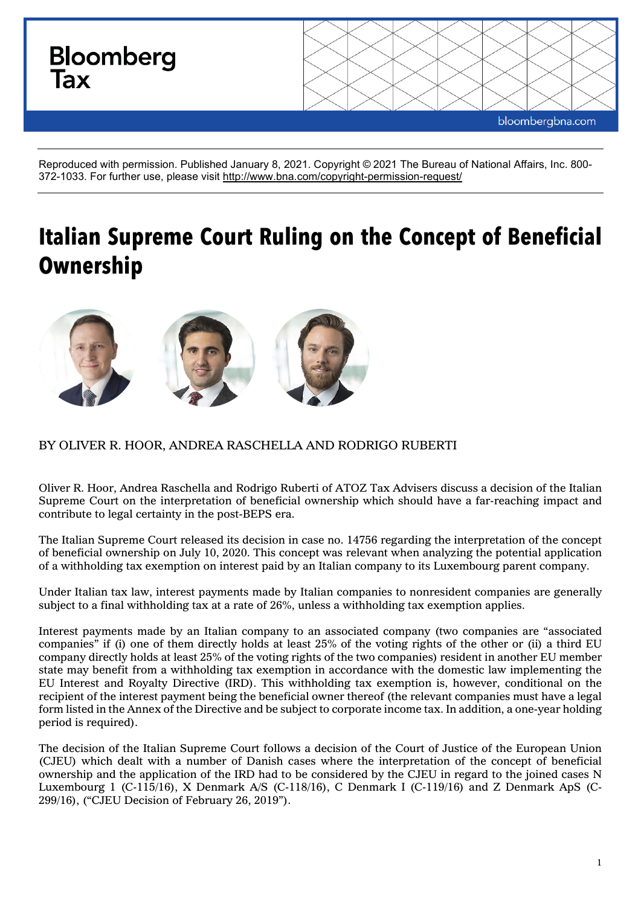

Reproduced with permission. Published January 8, 2021. Copyright © 2021 The Bureau of National Affairs, Inc. 800- 372-1033. For further use, please visit<http://www.bna.com/copyright-permission-request/>

# **Italian Supreme Court Ruling on the Concept of Beneficial Ownership**



# BY OLIVER R. HOOR, ANDREA RASCHELLA AND RODRIGO RUBERTI

Oliver R. Hoor, Andrea Raschella and Rodrigo Ruberti of ATOZ Tax Advisers discuss a decision of the Italian Supreme Court on the interpretation of beneficial ownership which should have a far-reaching impact and contribute to legal certainty in the post-BEPS era.

The Italian Supreme Court released its decision in case no. 14756 regarding the interpretation of the concept of beneficial ownership on July 10, 2020. This concept was relevant when analyzing the potential application of a withholding tax exemption on interest paid by an Italian company to its Luxembourg parent company.

Under Italian tax law, interest payments made by Italian companies to nonresident companies are generally subject to a final withholding tax at a rate of 26%, unless a withholding tax exemption applies.

Interest payments made by an Italian company to an associated company (two companies are "associated companies" if (i) one of them directly holds at least 25% of the voting rights of the other or (ii) a third EU company directly holds at least 25% of the voting rights of the two companies) resident in another EU member state may benefit from a withholding tax exemption in accordance with the domestic law implementing the EU Interest and Royalty Directive (IRD). This withholding tax exemption is, however, conditional on the recipient of the interest payment being the beneficial owner thereof (the relevant companies must have a legal form listed in the Annex of the Directive and be subject to corporate income tax. In addition, a one-year holding period is required).

The decision of the Italian Supreme Court follows a decision of the Court of Justice of the European Union (CJEU) which dealt with a number of Danish cases where the interpretation of the concept of beneficial ownership and the application of the IRD had to be considered by the CJEU in regard to the joined cases N Luxembourg 1 (C-115/16), X Denmark A/S (C-118/16), C Denmark I (C-119/16) and Z Denmark ApS (C-299/16), ("CJEU Decision of February 26, 2019").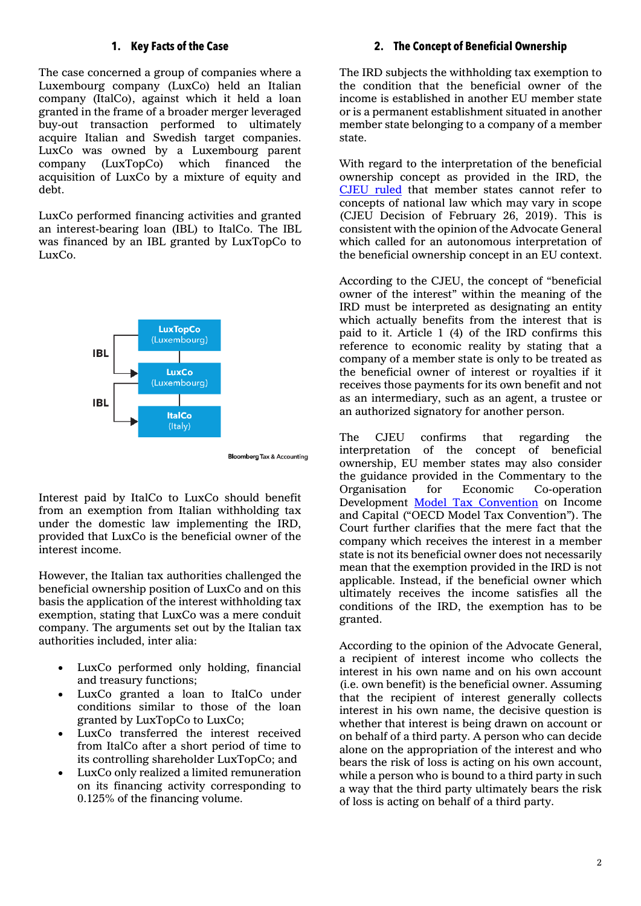### **1. Key Facts of the Case**

The case concerned a group of companies where a Luxembourg company (LuxCo) held an Italian company (ItalCo), against which it held a loan granted in the frame of a broader merger leveraged buy-out transaction performed to ultimately acquire Italian and Swedish target companies. LuxCo was owned by a Luxembourg parent company (LuxTopCo) which financed the acquisition of LuxCo by a mixture of equity and debt.

LuxCo performed financing activities and granted an interest-bearing loan (IBL) to ItalCo. The IBL was financed by an IBL granted by LuxTopCo to LuxCo.



**Bloomberg Tax & Accounting** 

Interest paid by ItalCo to LuxCo should benefit from an exemption from Italian withholding tax under the domestic law implementing the IRD, provided that LuxCo is the beneficial owner of the interest income.

However, the Italian tax authorities challenged the beneficial ownership position of LuxCo and on this basis the application of the interest withholding tax exemption, stating that LuxCo was a mere conduit company. The arguments set out by the Italian tax authorities included, inter alia:

- LuxCo performed only holding, financial and treasury functions;
- LuxCo granted a loan to ItalCo under conditions similar to those of the loan granted by LuxTopCo to LuxCo;
- LuxCo transferred the interest received from ItalCo after a short period of time to its controlling shareholder LuxTopCo; and
- LuxCo only realized a limited remuneration on its financing activity corresponding to 0.125% of the financing volume.

#### **2. The Concept of Beneficial Ownership**

The IRD subjects the withholding tax exemption to the condition that the beneficial owner of the income is established in another EU member state or is a permanent establishment situated in another member state belonging to a company of a member state.

With regard to the interpretation of the beneficial ownership concept as provided in the IRD, the [CJEU ruled](http://curia.europa.eu/juris/document/document.jsf?docid=199820&doclang=EN) that member states cannot refer to concepts of national law which may vary in scope (CJEU Decision of February 26, 2019). This is consistent with the opinion of the Advocate General which called for an autonomous interpretation of the beneficial ownership concept in an EU context.

According to the CJEU, the concept of "beneficial owner of the interest" within the meaning of the IRD must be interpreted as designating an entity which actually benefits from the interest that is paid to it. Article 1 (4) of the IRD confirms this reference to economic reality by stating that a company of a member state is only to be treated as the beneficial owner of interest or royalties if it receives those payments for its own benefit and not as an intermediary, such as an agent, a trustee or an authorized signatory for another person.

The CJEU confirms that regarding the interpretation of the concept of beneficial ownership, EU member states may also consider the guidance provided in the Commentary to the Organisation for Economic Co-operation Development [Model Tax Convention](https://www.oecd.org/ctp/treaties/model-tax-convention-on-income-and-on-capital-condensed-version-20745419.htm) on Income and Capital ("OECD Model Tax Convention"). The Court further clarifies that the mere fact that the company which receives the interest in a member state is not its beneficial owner does not necessarily mean that the exemption provided in the IRD is not applicable. Instead, if the beneficial owner which ultimately receives the income satisfies all the conditions of the IRD, the exemption has to be granted.

According to the opinion of the Advocate General, a recipient of interest income who collects the interest in his own name and on his own account (i.e. own benefit) is the beneficial owner. Assuming that the recipient of interest generally collects interest in his own name, the decisive question is whether that interest is being drawn on account or on behalf of a third party. A person who can decide alone on the appropriation of the interest and who bears the risk of loss is acting on his own account, while a person who is bound to a third party in such a way that the third party ultimately bears the risk of loss is acting on behalf of a third party.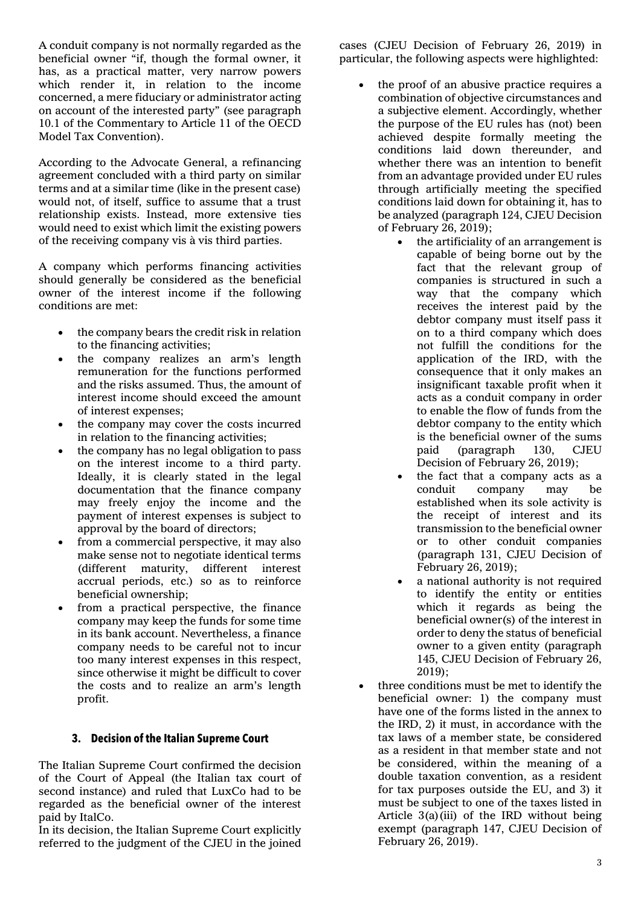A conduit company is not normally regarded as the beneficial owner "if, though the formal owner, it has, as a practical matter, very narrow powers which render it, in relation to the income concerned, a mere fiduciary or administrator acting on account of the interested party" (see paragraph 10.1 of the Commentary to Article 11 of the OECD Model Tax Convention).

According to the Advocate General, a refinancing agreement concluded with a third party on similar terms and at a similar time (like in the present case) would not, of itself, suffice to assume that a trust relationship exists. Instead, more extensive ties would need to exist which limit the existing powers of the receiving company vis à vis third parties.

A company which performs financing activities should generally be considered as the beneficial owner of the interest income if the following conditions are met:

- the company bears the credit risk in relation to the financing activities;
- the company realizes an arm's length remuneration for the functions performed and the risks assumed. Thus, the amount of interest income should exceed the amount of interest expenses;
- the company may cover the costs incurred in relation to the financing activities;
- the company has no legal obligation to pass on the interest income to a third party. Ideally, it is clearly stated in the legal documentation that the finance company may freely enjoy the income and the payment of interest expenses is subject to approval by the board of directors;
- from a commercial perspective, it may also make sense not to negotiate identical terms (different maturity, different interest accrual periods, etc.) so as to reinforce beneficial ownership;
- from a practical perspective, the finance company may keep the funds for some time in its bank account. Nevertheless, a finance company needs to be careful not to incur too many interest expenses in this respect, since otherwise it might be difficult to cover the costs and to realize an arm's length profit.

# **3. Decision of the Italian Supreme Court**

The Italian Supreme Court confirmed the decision of the Court of Appeal (the Italian tax court of second instance) and ruled that LuxCo had to be regarded as the beneficial owner of the interest paid by ItalCo.

In its decision, the Italian Supreme Court explicitly referred to the judgment of the CJEU in the joined

cases (CJEU Decision of February 26, 2019) in particular, the following aspects were highlighted:

- the proof of an abusive practice requires a combination of objective circumstances and a subjective element. Accordingly, whether the purpose of the EU rules has (not) been achieved despite formally meeting the conditions laid down thereunder, and whether there was an intention to benefit from an advantage provided under EU rules through artificially meeting the specified conditions laid down for obtaining it, has to be analyzed (paragraph 124, CJEU Decision of February 26, 2019);
	- the artificiality of an arrangement is capable of being borne out by the fact that the relevant group of companies is structured in such a way that the company which receives the interest paid by the debtor company must itself pass it on to a third company which does not fulfill the conditions for the application of the IRD, with the consequence that it only makes an insignificant taxable profit when it acts as a conduit company in order to enable the flow of funds from the debtor company to the entity which is the beneficial owner of the sums paid (paragraph 130, CJEU Decision of February 26, 2019);
	- the fact that a company acts as a conduit company may be established when its sole activity is the receipt of interest and its transmission to the beneficial owner or to other conduit companies (paragraph 131, CJEU Decision of February 26, 2019);
	- a national authority is not required to identify the entity or entities which it regards as being the beneficial owner(s) of the interest in order to deny the status of beneficial owner to a given entity (paragraph 145, CJEU Decision of February 26, 2019);
- three conditions must be met to identify the beneficial owner: 1) the company must have one of the forms listed in the annex to the IRD, 2) it must, in accordance with the tax laws of a member state, be considered as a resident in that member state and not be considered, within the meaning of a double taxation convention, as a resident for tax purposes outside the EU, and 3) it must be subject to one of the taxes listed in Article 3(a)(iii) of the IRD without being exempt (paragraph 147, CJEU Decision of February 26, 2019).